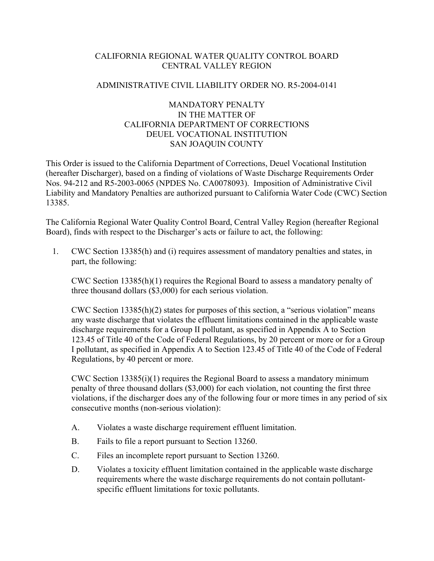# CALIFORNIA REGIONAL WATER QUALITY CONTROL BOARD CENTRAL VALLEY REGION

#### ADMINISTRATIVE CIVIL LIABILITY ORDER NO. R5-2004-0141

# MANDATORY PENALTY IN THE MATTER OF CALIFORNIA DEPARTMENT OF CORRECTIONS DEUEL VOCATIONAL INSTITUTION SAN JOAQUIN COUNTY

This Order is issued to the California Department of Corrections, Deuel Vocational Institution (hereafter Discharger), based on a finding of violations of Waste Discharge Requirements Order Nos. 94-212 and R5-2003-0065 (NPDES No. CA0078093). Imposition of Administrative Civil Liability and Mandatory Penalties are authorized pursuant to California Water Code (CWC) Section 13385.

The California Regional Water Quality Control Board, Central Valley Region (hereafter Regional Board), finds with respect to the Discharger's acts or failure to act, the following:

1. CWC Section 13385(h) and (i) requires assessment of mandatory penalties and states, in part, the following:

CWC Section 13385(h)(1) requires the Regional Board to assess a mandatory penalty of three thousand dollars (\$3,000) for each serious violation.

CWC Section 13385(h)(2) states for purposes of this section, a "serious violation" means any waste discharge that violates the effluent limitations contained in the applicable waste discharge requirements for a Group II pollutant, as specified in Appendix A to Section 123.45 of Title 40 of the Code of Federal Regulations, by 20 percent or more or for a Group I pollutant, as specified in Appendix A to Section 123.45 of Title 40 of the Code of Federal Regulations, by 40 percent or more.

CWC Section 13385(i)(1) requires the Regional Board to assess a mandatory minimum penalty of three thousand dollars (\$3,000) for each violation, not counting the first three violations, if the discharger does any of the following four or more times in any period of six consecutive months (non-serious violation):

- A. Violates a waste discharge requirement effluent limitation.
- B. Fails to file a report pursuant to Section 13260.
- C. Files an incomplete report pursuant to Section 13260.
- D. Violates a toxicity effluent limitation contained in the applicable waste discharge requirements where the waste discharge requirements do not contain pollutantspecific effluent limitations for toxic pollutants.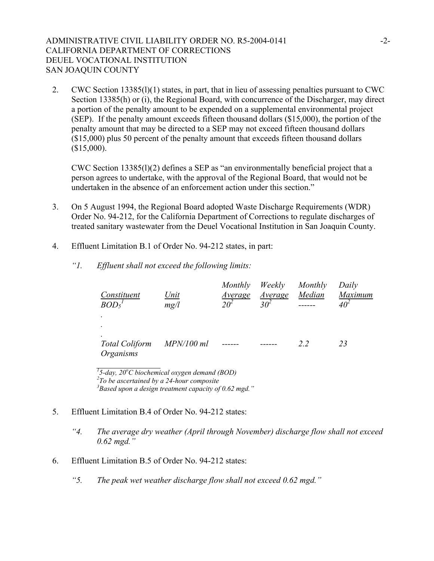# ADMINISTRATIVE CIVIL LIABILITY ORDER NO. R5-2004-0141  $-2$ -CALIFORNIA DEPARTMENT OF CORRECTIONS DEUEL VOCATIONAL INSTITUTION SAN JOAQUIN COUNTY

2. CWC Section 13385(l)(1) states, in part, that in lieu of assessing penalties pursuant to CWC Section 13385(h) or (i), the Regional Board, with concurrence of the Discharger, may direct a portion of the penalty amount to be expended on a supplemental environmental project (SEP). If the penalty amount exceeds fifteen thousand dollars (\$15,000), the portion of the penalty amount that may be directed to a SEP may not exceed fifteen thousand dollars (\$15,000) plus 50 percent of the penalty amount that exceeds fifteen thousand dollars (\$15,000).

CWC Section 13385(l)(2) defines a SEP as "an environmentally beneficial project that a person agrees to undertake, with the approval of the Regional Board, that would not be undertaken in the absence of an enforcement action under this section."

- 3. On 5 August 1994, the Regional Board adopted Waste Discharge Requirements (WDR) Order No. 94-212, for the California Department of Corrections to regulate discharges of treated sanitary wastewater from the Deuel Vocational Institution in San Joaquin County.
- 4. Effluent Limitation B.1 of Order No. 94-212 states, in part:
	- *"1. Effluent shall not exceed the following limits:*

| Constituent<br>BOD <sub>5</sub> <sup>1</sup> | Unit<br>mg/l | <u>Average</u><br>$2\Omega^2$ | Monthly Weekly Monthly<br><u>Average</u><br>30 <sup>2</sup> | Median | Daily<br>Maximum<br>$40^2$ |
|----------------------------------------------|--------------|-------------------------------|-------------------------------------------------------------|--------|----------------------------|
|                                              |              |                               |                                                             |        |                            |
| <b>Total Coliform</b><br>Organisms           | MPN/100 ml   |                               |                                                             | 2.2    | 23                         |

<sup>1</sup>5-day, 20<sup>o</sup>C biochemical oxygen demand (BOD) <sup>2</sup>To be assertained by a 24 hour composite *To be ascertained by a 24-hour composite 3 Based upon a design treatment capacity of 0.62 mgd."* 

- 5. Effluent Limitation B.4 of Order No. 94-212 states:
	- *"4. The average dry weather (April through November) discharge flow shall not exceed 0.62 mgd."*
- 6. Effluent Limitation B.5 of Order No. 94-212 states:
	- *"5. The peak wet weather discharge flow shall not exceed 0.62 mgd."*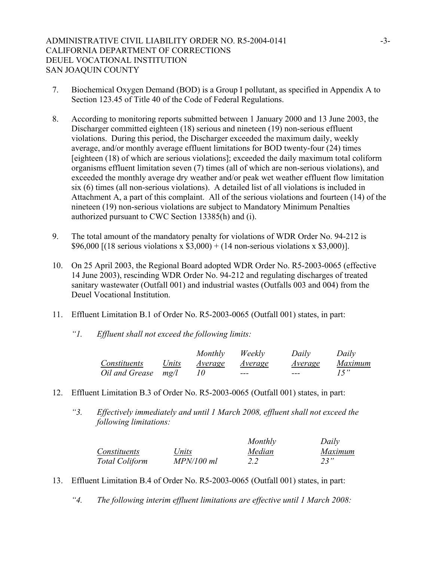# ADMINISTRATIVE CIVIL LIABILITY ORDER NO. R5-2004-0141 -3- CALIFORNIA DEPARTMENT OF CORRECTIONS DEUEL VOCATIONAL INSTITUTION SAN JOAQUIN COUNTY

- 7. Biochemical Oxygen Demand (BOD) is a Group I pollutant, as specified in Appendix A to Section 123.45 of Title 40 of the Code of Federal Regulations.
- 8. According to monitoring reports submitted between 1 January 2000 and 13 June 2003, the Discharger committed eighteen (18) serious and nineteen (19) non-serious effluent violations. During this period, the Discharger exceeded the maximum daily, weekly average, and/or monthly average effluent limitations for BOD twenty-four (24) times [eighteen (18) of which are serious violations]; exceeded the daily maximum total coliform organisms effluent limitation seven (7) times (all of which are non-serious violations), and exceeded the monthly average dry weather and/or peak wet weather effluent flow limitation six (6) times (all non-serious violations). A detailed list of all violations is included in Attachment A, a part of this complaint. All of the serious violations and fourteen (14) of the nineteen (19) non-serious violations are subject to Mandatory Minimum Penalties authorized pursuant to CWC Section 13385(h) and (i).
- 9. The total amount of the mandatory penalty for violations of WDR Order No. 94-212 is \$96,000 [(18 serious violations x  $$3,000$ ) + (14 non-serious violations x \$3,000)].
- 10. On 25 April 2003, the Regional Board adopted WDR Order No. R5-2003-0065 (effective 14 June 2003), rescinding WDR Order No. 94-212 and regulating discharges of treated sanitary wastewater (Outfall 001) and industrial wastes (Outfalls 003 and 004) from the Deuel Vocational Institution.
- 11. Effluent Limitation B.1 of Order No. R5-2003-0065 (Outfall 001) states, in part:
	- *"1. Effluent shall not exceed the following limits:*

|                |              | Monthly | Weekly  | Daily   | Daily   |
|----------------|--------------|---------|---------|---------|---------|
| Constituents   | Units        | Average | Average | Average | Maximum |
| Oil and Grease | $m\varrho/l$ |         | $- - -$ | ---     |         |

- 12. Effluent Limitation B.3 of Order No. R5-2003-0065 (Outfall 001) states, in part:
	- *"3. Effectively immediately and until 1 March 2008, effluent shall not exceed the following limitations:*

|                       |            | Monthly | Daily   |
|-----------------------|------------|---------|---------|
| Constituents          | Units      | Median  | Maximum |
| <b>Total Coliform</b> | MPN/100 ml |         | 23"     |

- 13. Effluent Limitation B.4 of Order No. R5-2003-0065 (Outfall 001) states, in part:
	- *"4. The following interim effluent limitations are effective until 1 March 2008:*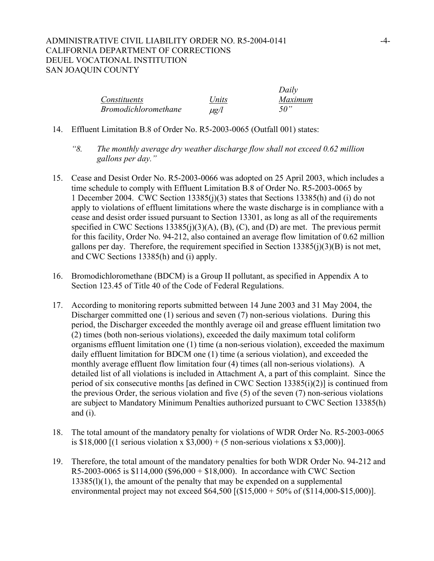# ADMINISTRATIVE CIVIL LIABILITY ORDER NO. R5-2004-0141 -4- CALIFORNIA DEPARTMENT OF CORRECTIONS DEUEL VOCATIONAL INSTITUTION SAN JOAQUIN COUNTY

|                             |           | Daily   |
|-----------------------------|-----------|---------|
| Constituents                | Units     | Maximum |
| <i>Bromodichloromethane</i> | $\mu$ g/l | 50"     |

- 14. Effluent Limitation B.8 of Order No. R5-2003-0065 (Outfall 001) states:
	- *"8. The monthly average dry weather discharge flow shall not exceed 0.62 million gallons per day."*
- 15. Cease and Desist Order No. R5-2003-0066 was adopted on 25 April 2003, which includes a time schedule to comply with Effluent Limitation B.8 of Order No. R5-2003-0065 by 1 December 2004. CWC Section 13385(j)(3) states that Sections 13385(h) and (i) do not apply to violations of effluent limitations where the waste discharge is in compliance with a cease and desist order issued pursuant to Section 13301, as long as all of the requirements specified in CWC Sections  $13385(i)(3)(A)$ , (B), (C), and (D) are met. The previous permit for this facility, Order No. 94-212, also contained an average flow limitation of 0.62 million gallons per day. Therefore, the requirement specified in Section  $13385(i)(3)(B)$  is not met, and CWC Sections 13385(h) and (i) apply.
- 16. Bromodichloromethane (BDCM) is a Group II pollutant, as specified in Appendix A to Section 123.45 of Title 40 of the Code of Federal Regulations.
- 17. According to monitoring reports submitted between 14 June 2003 and 31 May 2004, the Discharger committed one (1) serious and seven (7) non-serious violations. During this period, the Discharger exceeded the monthly average oil and grease effluent limitation two (2) times (both non-serious violations), exceeded the daily maximum total coliform organisms effluent limitation one (1) time (a non-serious violation), exceeded the maximum daily effluent limitation for BDCM one (1) time (a serious violation), and exceeded the monthly average effluent flow limitation four (4) times (all non-serious violations). A detailed list of all violations is included in Attachment A, a part of this complaint. Since the period of six consecutive months [as defined in CWC Section 13385(i)(2)] is continued from the previous Order, the serious violation and five (5) of the seven (7) non-serious violations are subject to Mandatory Minimum Penalties authorized pursuant to CWC Section 13385(h) and (i).
- 18. The total amount of the mandatory penalty for violations of WDR Order No. R5-2003-0065 is \$18,000 [(1 serious violation x  $$3,000$ ) + (5 non-serious violations x \$3,000)].
- 19. Therefore, the total amount of the mandatory penalties for both WDR Order No. 94-212 and R5-2003-0065 is \$114,000 (\$96,000 + \$18,000). In accordance with CWC Section 13385(l)(1), the amount of the penalty that may be expended on a supplemental environmental project may not exceed \$64,500 [(\$15,000 + 50% of (\$114,000-\$15,000)].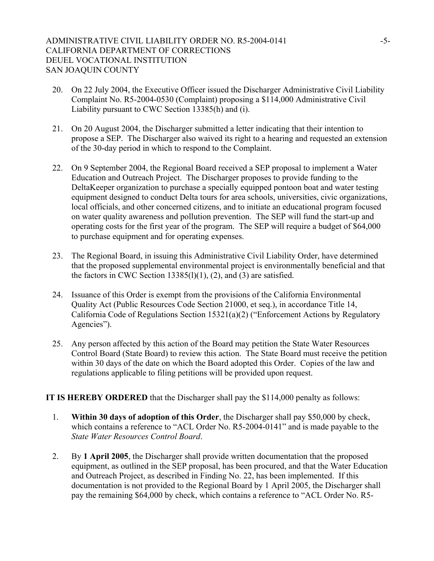## ADMINISTRATIVE CIVIL LIABILITY ORDER NO. R5-2004-0141 - 5-CALIFORNIA DEPARTMENT OF CORRECTIONS DEUEL VOCATIONAL INSTITUTION SAN JOAQUIN COUNTY

- 20. On 22 July 2004, the Executive Officer issued the Discharger Administrative Civil Liability Complaint No. R5-2004-0530 (Complaint) proposing a \$114,000 Administrative Civil Liability pursuant to CWC Section 13385(h) and (i).
- 21. On 20 August 2004, the Discharger submitted a letter indicating that their intention to propose a SEP. The Discharger also waived its right to a hearing and requested an extension of the 30-day period in which to respond to the Complaint.
- 22. On 9 September 2004, the Regional Board received a SEP proposal to implement a Water Education and Outreach Project. The Discharger proposes to provide funding to the DeltaKeeper organization to purchase a specially equipped pontoon boat and water testing equipment designed to conduct Delta tours for area schools, universities, civic organizations, local officials, and other concerned citizens, and to initiate an educational program focused on water quality awareness and pollution prevention. The SEP will fund the start-up and operating costs for the first year of the program. The SEP will require a budget of \$64,000 to purchase equipment and for operating expenses.
- 23. The Regional Board, in issuing this Administrative Civil Liability Order, have determined that the proposed supplemental environmental project is environmentally beneficial and that the factors in CWC Section  $13385(l)(1)$ , (2), and (3) are satisfied.
- 24. Issuance of this Order is exempt from the provisions of the California Environmental Quality Act (Public Resources Code Section 21000, et seq.), in accordance Title 14, California Code of Regulations Section 15321(a)(2) ("Enforcement Actions by Regulatory Agencies").
- 25. Any person affected by this action of the Board may petition the State Water Resources Control Board (State Board) to review this action. The State Board must receive the petition within 30 days of the date on which the Board adopted this Order. Copies of the law and regulations applicable to filing petitions will be provided upon request.

**IT IS HEREBY ORDERED** that the Discharger shall pay the \$114,000 penalty as follows:

- 1. **Within 30 days of adoption of this Order**, the Discharger shall pay \$50,000 by check, which contains a reference to "ACL Order No. R5-2004-0141" and is made payable to the *State Water Resources Control Board*.
- 2. By **1 April 2005**, the Discharger shall provide written documentation that the proposed equipment, as outlined in the SEP proposal, has been procured, and that the Water Education and Outreach Project, as described in Finding No. 22, has been implemented. If this documentation is not provided to the Regional Board by 1 April 2005, the Discharger shall pay the remaining \$64,000 by check, which contains a reference to "ACL Order No. R5-